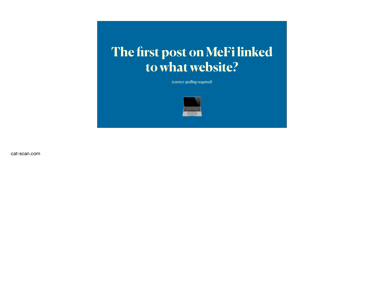## **The first post on MeFi linked to what website?**

*(correct spelling required)*



cat-scan.com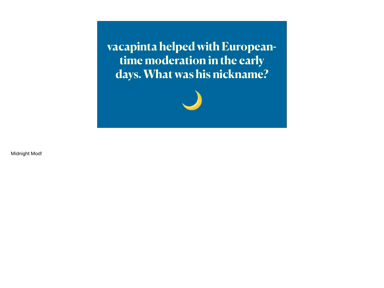**vacapinta helped with Europeantime moderation in the early days. What was his nickname?**



Midnight Mod!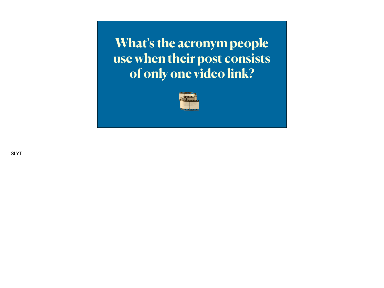**What's the acronym people use when their post consists of only one video link?**



SLYT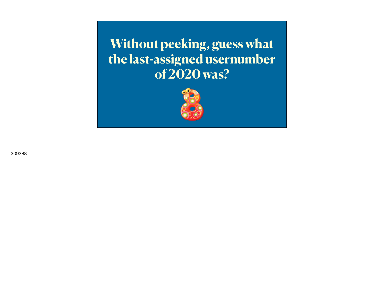**Without peeking, guess what the last-assigned usernumber of 2020 was?**



309388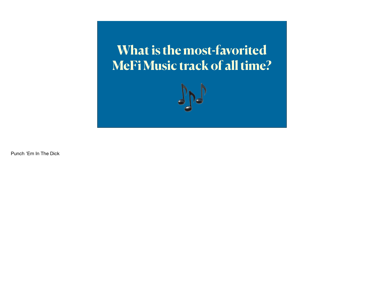**What is the most-favorited MeFi Music track of all time?**



Punch 'Em In The Dick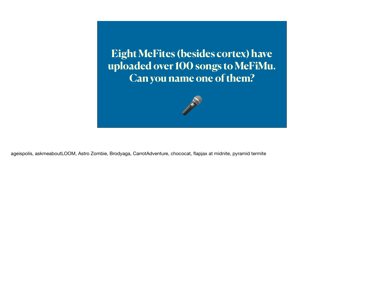**Eight MeFites (besides cortex) have uploaded over 100 songs to MeFiMu. Can you name one of them?**



ageispolis, askmeaboutLOOM, Astro Zombie, Brodyaga, CarrotAdventure, chococat, flapjax at midnite, pyramid termite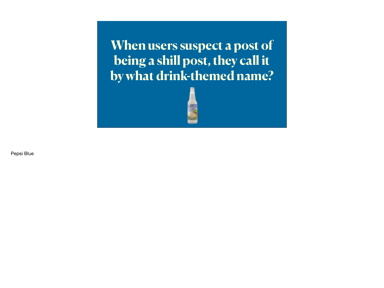**When users suspect a post of being a shill post, they call it by what drink-themed name?**



Pepsi Blue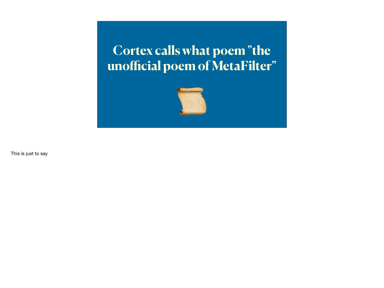## **Cortex calls what poem "the unofficial poem of MetaFilter"**



This is just to say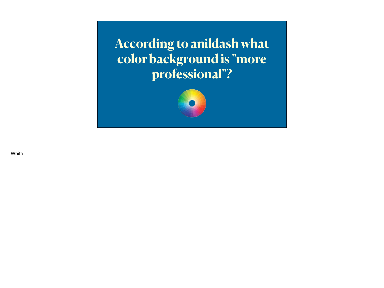**According to anildash what color background is "more professional"?**



**White**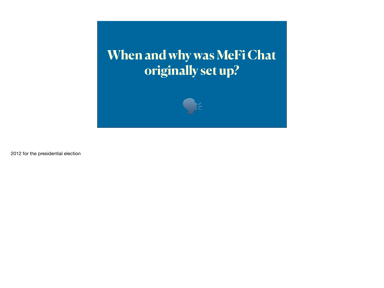## **When and why was MeFi Chat originally set up?**



2012 for the presidential election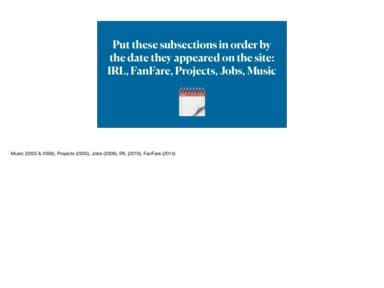**Put these subsections in order by the date they appeared on the site: IRL, FanFare, Projects, Jobs, Music**



Music (2003 & 2006), Projects (2005), Jobs (2006), IRL (2010), FanFare (2014)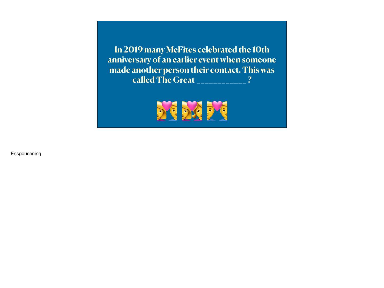**In 2019 many MeFites celebrated the 10th anniversary of an earlier event when someone made another person their contact. This was called The Great \_\_\_\_\_\_\_\_\_\_\_\_ ?**



Enspousening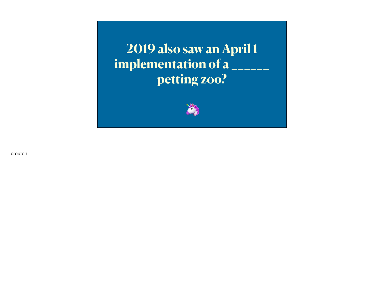**2019 also saw an April 1**  implementation of a **petting zoo?**



crouton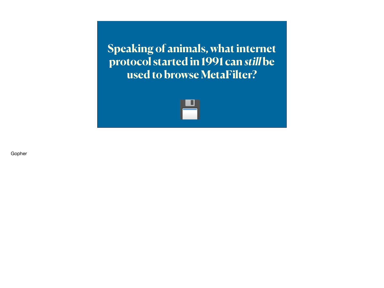**Speaking of animals, what internet protocol started in 1991 can** *still* **be used to browse MetaFilter?**



Gopher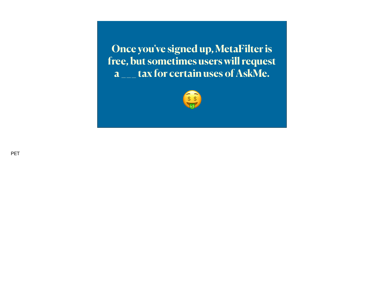**Once you've signed up, MetaFilter is free, but sometimes users will request a \_\_\_ tax for certain uses of AskMe.**



**PET**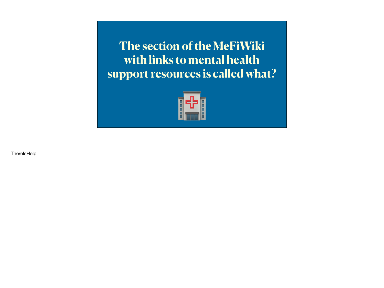**The section of the MeFiWiki with links to mental health support resources is called what?**



**ThereIsHelp**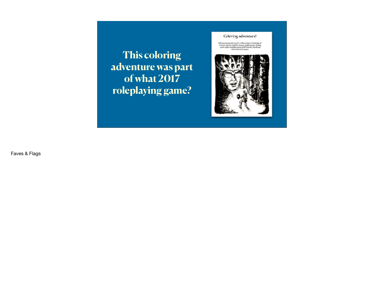**This coloring adventure was part of what 2017 roleplaying game?** 

## Coloring adventure!

Add your presental weak to this artists rendering of<br>a brave vartier and her musty realisemance facing<br>contradier manifestation of 40 browl, the dread<br>over the Olei God of Strusten.



Faves & Flags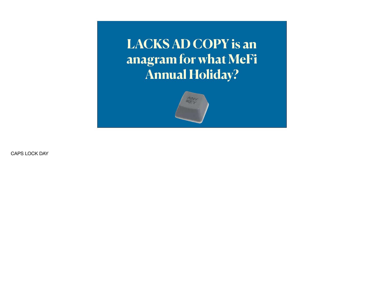**LACKS AD COPY is an anagram for what MeFi Annual Holiday?**



CAPS LOCK DAY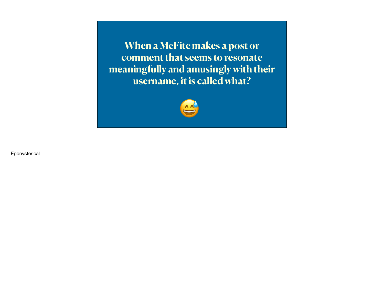**When a MeFite makes a post or comment that seems to resonate meaningfully and amusingly with their username, it is called what?**



Eponysterical